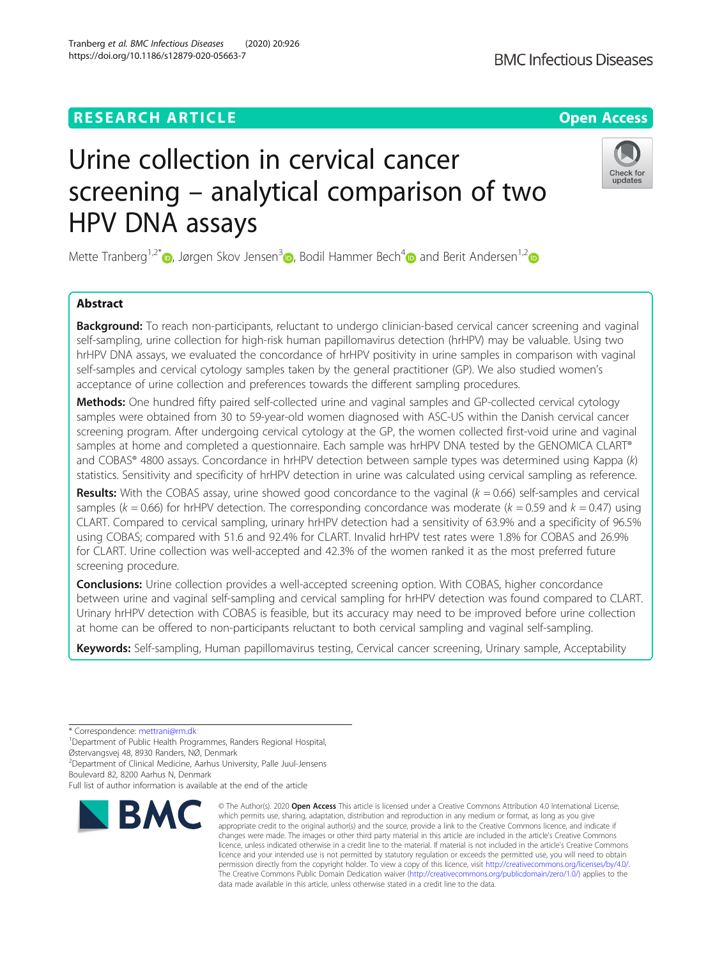# **RESEARCH ARTICLE Example 2014 12:30 The Contract of Contract ACCESS**

# Urine collection in cervical cancer screening – analytical comparison of two HPV DNA assays

Mette Tranberg<sup>1,2\*</sup> $\bullet$ , Jørgen Skov Jensen<sup>3</sup> $\bullet$ , Bodil Hammer Bech<sup>4</sup> $\bullet$  and Berit Andersen<sup>1,2</sup> $\bullet$ 

## Abstract

Background: To reach non-participants, reluctant to undergo clinician-based cervical cancer screening and vaginal self-sampling, urine collection for high-risk human papillomavirus detection (hrHPV) may be valuable. Using two hrHPV DNA assays, we evaluated the concordance of hrHPV positivity in urine samples in comparison with vaginal self-samples and cervical cytology samples taken by the general practitioner (GP). We also studied women's acceptance of urine collection and preferences towards the different sampling procedures.

Methods: One hundred fifty paired self-collected urine and vaginal samples and GP-collected cervical cytology samples were obtained from 30 to 59-year-old women diagnosed with ASC-US within the Danish cervical cancer screening program. After undergoing cervical cytology at the GP, the women collected first-void urine and vaginal samples at home and completed a questionnaire. Each sample was hrHPV DNA tested by the GENOMICA CLART® and COBAS® 4800 assays. Concordance in hrHPV detection between sample types was determined using Kappa (k) statistics. Sensitivity and specificity of hrHPV detection in urine was calculated using cervical sampling as reference.

**Results:** With the COBAS assay, urine showed good concordance to the vaginal  $(k = 0.66)$  self-samples and cervical samples ( $k = 0.66$ ) for hrHPV detection. The corresponding concordance was moderate ( $k = 0.59$  and  $k = 0.47$ ) using CLART. Compared to cervical sampling, urinary hrHPV detection had a sensitivity of 63.9% and a specificity of 96.5% using COBAS; compared with 51.6 and 92.4% for CLART. Invalid hrHPV test rates were 1.8% for COBAS and 26.9% for CLART. Urine collection was well-accepted and 42.3% of the women ranked it as the most preferred future screening procedure.

**Conclusions:** Urine collection provides a well-accepted screening option. With COBAS, higher concordance between urine and vaginal self-sampling and cervical sampling for hrHPV detection was found compared to CLART. Urinary hrHPV detection with COBAS is feasible, but its accuracy may need to be improved before urine collection at home can be offered to non-participants reluctant to both cervical sampling and vaginal self-sampling.

Keywords: Self-sampling, Human papillomavirus testing, Cervical cancer screening, Urinary sample, Acceptability

\* Correspondence: [mettrani@rm.dk](mailto:mettrani@rm.dk) <sup>1</sup>

<sup>1</sup>Department of Public Health Programmes, Randers Regional Hospital,

Østervangsvej 48, 8930 Randers, NØ, Denmark 2 Department of Clinical Medicine, Aarhus University, Palle Juul-Jensens

Boulevard 82, 8200 Aarhus N, Denmark

**RMC** 

Full list of author information is available at the end of the article



© The Author(s), 2020 **Open Access** This article is licensed under a Creative Commons Attribution 4.0 International License, which permits use, sharing, adaptation, distribution and reproduction in any medium or format, as long as you give

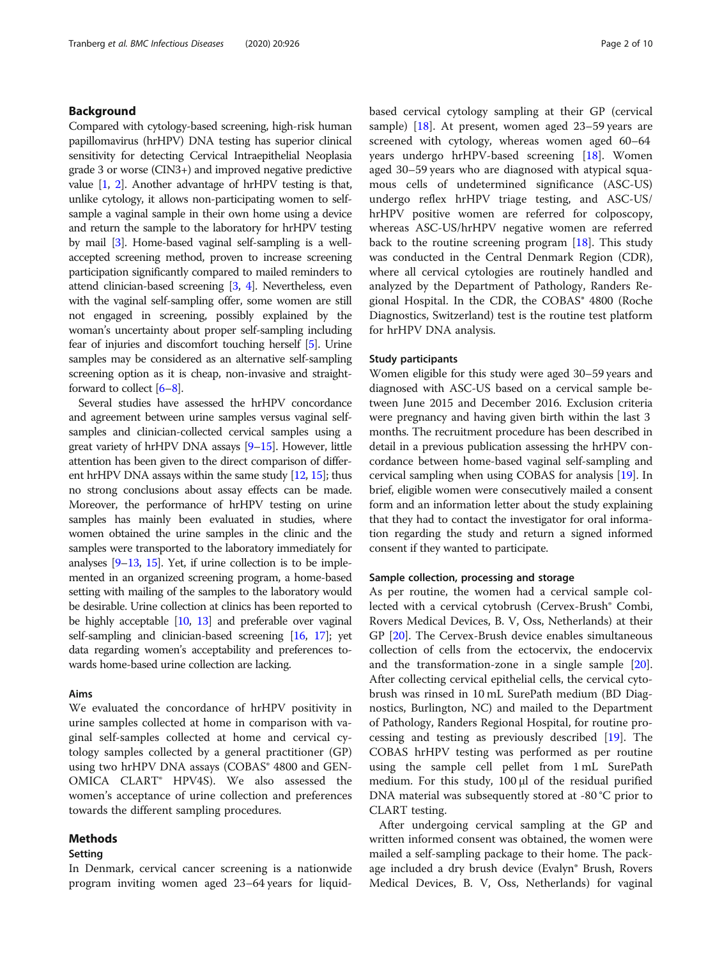#### Background

Compared with cytology-based screening, high-risk human papillomavirus (hrHPV) DNA testing has superior clinical sensitivity for detecting Cervical Intraepithelial Neoplasia grade 3 or worse (CIN3+) and improved negative predictive value [\[1,](#page-9-0) [2\]](#page-9-0). Another advantage of hrHPV testing is that, unlike cytology, it allows non-participating women to selfsample a vaginal sample in their own home using a device and return the sample to the laboratory for hrHPV testing by mail [\[3\]](#page-9-0). Home-based vaginal self-sampling is a wellaccepted screening method, proven to increase screening participation significantly compared to mailed reminders to attend clinician-based screening [[3,](#page-9-0) [4](#page-9-0)]. Nevertheless, even with the vaginal self-sampling offer, some women are still not engaged in screening, possibly explained by the woman's uncertainty about proper self-sampling including fear of injuries and discomfort touching herself [[5](#page-9-0)]. Urine samples may be considered as an alternative self-sampling screening option as it is cheap, non-invasive and straightforward to collect [\[6](#page-9-0)–[8](#page-9-0)].

Several studies have assessed the hrHPV concordance and agreement between urine samples versus vaginal selfsamples and clinician-collected cervical samples using a great variety of hrHPV DNA assays [\[9](#page-9-0)–[15](#page-9-0)]. However, little attention has been given to the direct comparison of different hrHPV DNA assays within the same study [[12](#page-9-0), [15](#page-9-0)]; thus no strong conclusions about assay effects can be made. Moreover, the performance of hrHPV testing on urine samples has mainly been evaluated in studies, where women obtained the urine samples in the clinic and the samples were transported to the laboratory immediately for analyses [\[9](#page-9-0)–[13,](#page-9-0) [15\]](#page-9-0). Yet, if urine collection is to be implemented in an organized screening program, a home-based setting with mailing of the samples to the laboratory would be desirable. Urine collection at clinics has been reported to be highly acceptable [[10](#page-9-0), [13\]](#page-9-0) and preferable over vaginal self-sampling and clinician-based screening [\[16,](#page-9-0) [17\]](#page-9-0); yet data regarding women's acceptability and preferences towards home-based urine collection are lacking.

#### Aims

We evaluated the concordance of hrHPV positivity in urine samples collected at home in comparison with vaginal self-samples collected at home and cervical cytology samples collected by a general practitioner (GP) using two hrHPV DNA assays (COBAS<sup>®</sup> 4800 and GEN-OMICA CLART® HPV4S). We also assessed the women's acceptance of urine collection and preferences towards the different sampling procedures.

#### Methods

#### Setting

In Denmark, cervical cancer screening is a nationwide program inviting women aged 23–64 years for liquidbased cervical cytology sampling at their GP (cervical sample) [\[18\]](#page-9-0). At present, women aged 23–59 years are screened with cytology, whereas women aged 60–64 years undergo hrHPV-based screening [[18](#page-9-0)]. Women aged 30–59 years who are diagnosed with atypical squamous cells of undetermined significance (ASC-US) undergo reflex hrHPV triage testing, and ASC-US/ hrHPV positive women are referred for colposcopy, whereas ASC-US/hrHPV negative women are referred back to the routine screening program [\[18](#page-9-0)]. This study was conducted in the Central Denmark Region (CDR), where all cervical cytologies are routinely handled and analyzed by the Department of Pathology, Randers Regional Hospital. In the CDR, the COBAS® 4800 (Roche Diagnostics, Switzerland) test is the routine test platform for hrHPV DNA analysis.

#### Study participants

Women eligible for this study were aged 30–59 years and diagnosed with ASC-US based on a cervical sample between June 2015 and December 2016. Exclusion criteria were pregnancy and having given birth within the last 3 months. The recruitment procedure has been described in detail in a previous publication assessing the hrHPV concordance between home-based vaginal self-sampling and cervical sampling when using COBAS for analysis [\[19\]](#page-9-0). In brief, eligible women were consecutively mailed a consent form and an information letter about the study explaining that they had to contact the investigator for oral information regarding the study and return a signed informed consent if they wanted to participate.

#### Sample collection, processing and storage

As per routine, the women had a cervical sample collected with a cervical cytobrush (Cervex-Brush® Combi, Rovers Medical Devices, B. V, Oss, Netherlands) at their GP [\[20\]](#page-9-0). The Cervex-Brush device enables simultaneous collection of cells from the ectocervix, the endocervix and the transformation-zone in a single sample [\[20](#page-9-0)]. After collecting cervical epithelial cells, the cervical cytobrush was rinsed in 10 mL SurePath medium (BD Diagnostics, Burlington, NC) and mailed to the Department of Pathology, Randers Regional Hospital, for routine processing and testing as previously described [[19](#page-9-0)]. The COBAS hrHPV testing was performed as per routine using the sample cell pellet from 1 mL SurePath medium. For this study, 100 μl of the residual purified DNA material was subsequently stored at -80 °C prior to CLART testing.

After undergoing cervical sampling at the GP and written informed consent was obtained, the women were mailed a self-sampling package to their home. The package included a dry brush device (Evalyn® Brush, Rovers Medical Devices, B. V, Oss, Netherlands) for vaginal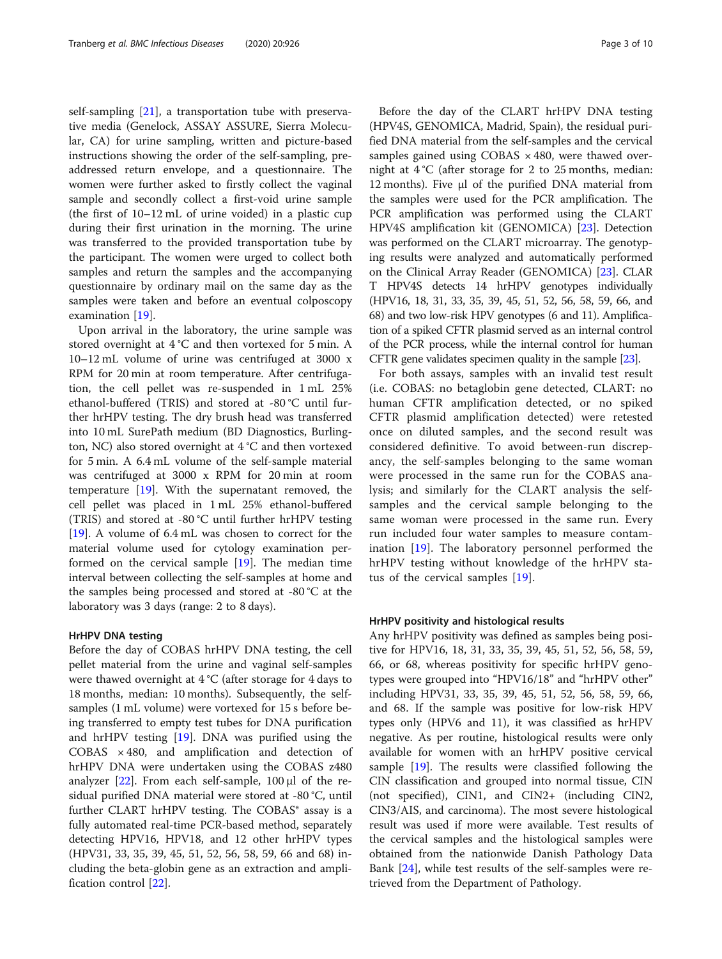self-sampling [\[21\]](#page-9-0), a transportation tube with preservative media (Genelock, ASSAY ASSURE, Sierra Molecular, CA) for urine sampling, written and picture-based instructions showing the order of the self-sampling, preaddressed return envelope, and a questionnaire. The women were further asked to firstly collect the vaginal sample and secondly collect a first-void urine sample (the first of 10–12 mL of urine voided) in a plastic cup during their first urination in the morning. The urine was transferred to the provided transportation tube by the participant. The women were urged to collect both samples and return the samples and the accompanying questionnaire by ordinary mail on the same day as the samples were taken and before an eventual colposcopy examination [\[19](#page-9-0)].

Upon arrival in the laboratory, the urine sample was stored overnight at 4 °C and then vortexed for 5 min. A 10–12 mL volume of urine was centrifuged at 3000 x RPM for 20 min at room temperature. After centrifugation, the cell pellet was re-suspended in 1 mL 25% ethanol-buffered (TRIS) and stored at -80 °C until further hrHPV testing. The dry brush head was transferred into 10 mL SurePath medium (BD Diagnostics, Burlington, NC) also stored overnight at 4 °C and then vortexed for 5 min. A 6.4 mL volume of the self-sample material was centrifuged at 3000 x RPM for 20 min at room temperature [\[19](#page-9-0)]. With the supernatant removed, the cell pellet was placed in 1 mL 25% ethanol-buffered (TRIS) and stored at -80 °C until further hrHPV testing [[19\]](#page-9-0). A volume of 6.4 mL was chosen to correct for the material volume used for cytology examination performed on the cervical sample [\[19](#page-9-0)]. The median time interval between collecting the self-samples at home and the samples being processed and stored at -80 °C at the laboratory was 3 days (range: 2 to 8 days).

#### HrHPV DNA testing

Before the day of COBAS hrHPV DNA testing, the cell pellet material from the urine and vaginal self-samples were thawed overnight at 4 °C (after storage for 4 days to 18 months, median: 10 months). Subsequently, the selfsamples (1 mL volume) were vortexed for 15 s before being transferred to empty test tubes for DNA purification and hrHPV testing [\[19](#page-9-0)]. DNA was purified using the COBAS  $\times$  480, and amplification and detection of hrHPV DNA were undertaken using the COBAS z480 analyzer  $[22]$  $[22]$ . From each self-sample, 100  $\mu$ l of the residual purified DNA material were stored at -80 °C, until further CLART hrHPV testing. The COBAS<sup>®</sup> assay is a fully automated real-time PCR-based method, separately detecting HPV16, HPV18, and 12 other hrHPV types (HPV31, 33, 35, 39, 45, 51, 52, 56, 58, 59, 66 and 68) including the beta-globin gene as an extraction and amplification control [[22](#page-9-0)].

Before the day of the CLART hrHPV DNA testing (HPV4S, GENOMICA, Madrid, Spain), the residual purified DNA material from the self-samples and the cervical samples gained using  $COBAS \times 480$ , were thawed overnight at 4 °C (after storage for 2 to 25 months, median: 12 months). Five μl of the purified DNA material from the samples were used for the PCR amplification. The PCR amplification was performed using the CLART HPV4S amplification kit (GENOMICA) [\[23](#page-9-0)]. Detection was performed on the CLART microarray. The genotyping results were analyzed and automatically performed on the Clinical Array Reader (GENOMICA) [\[23](#page-9-0)]. CLAR T HPV4S detects 14 hrHPV genotypes individually (HPV16, 18, 31, 33, 35, 39, 45, 51, 52, 56, 58, 59, 66, and 68) and two low-risk HPV genotypes (6 and 11). Amplification of a spiked CFTR plasmid served as an internal control of the PCR process, while the internal control for human CFTR gene validates specimen quality in the sample [\[23\]](#page-9-0).

For both assays, samples with an invalid test result (i.e. COBAS: no betaglobin gene detected, CLART: no human CFTR amplification detected, or no spiked CFTR plasmid amplification detected) were retested once on diluted samples, and the second result was considered definitive. To avoid between-run discrepancy, the self-samples belonging to the same woman were processed in the same run for the COBAS analysis; and similarly for the CLART analysis the selfsamples and the cervical sample belonging to the same woman were processed in the same run. Every run included four water samples to measure contamination [\[19](#page-9-0)]. The laboratory personnel performed the hrHPV testing without knowledge of the hrHPV status of the cervical samples [[19\]](#page-9-0).

#### HrHPV positivity and histological results

Any hrHPV positivity was defined as samples being positive for HPV16, 18, 31, 33, 35, 39, 45, 51, 52, 56, 58, 59, 66, or 68, whereas positivity for specific hrHPV genotypes were grouped into "HPV16/18" and "hrHPV other" including HPV31, 33, 35, 39, 45, 51, 52, 56, 58, 59, 66, and 68. If the sample was positive for low-risk HPV types only (HPV6 and 11), it was classified as hrHPV negative. As per routine, histological results were only available for women with an hrHPV positive cervical sample [[19\]](#page-9-0). The results were classified following the CIN classification and grouped into normal tissue, CIN (not specified), CIN1, and CIN2+ (including CIN2, CIN3/AIS, and carcinoma). The most severe histological result was used if more were available. Test results of the cervical samples and the histological samples were obtained from the nationwide Danish Pathology Data Bank [[24\]](#page-9-0), while test results of the self-samples were retrieved from the Department of Pathology.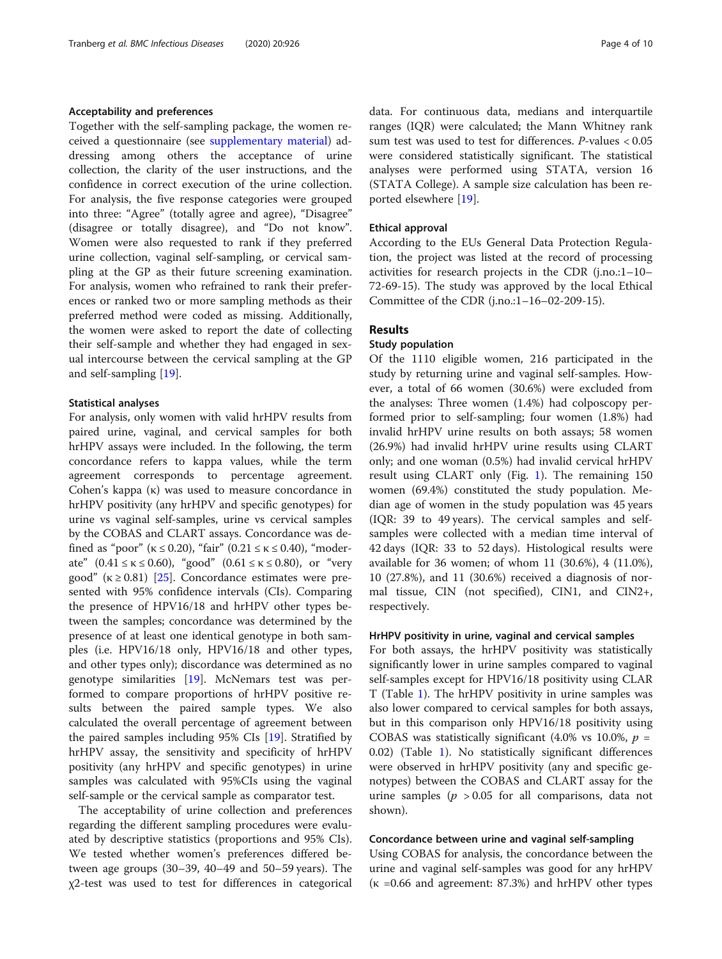#### Acceptability and preferences

Together with the self-sampling package, the women received a questionnaire (see [supplementary material](#page-8-0)) addressing among others the acceptance of urine collection, the clarity of the user instructions, and the confidence in correct execution of the urine collection. For analysis, the five response categories were grouped into three: "Agree" (totally agree and agree), "Disagree" (disagree or totally disagree), and "Do not know". Women were also requested to rank if they preferred urine collection, vaginal self-sampling, or cervical sampling at the GP as their future screening examination. For analysis, women who refrained to rank their preferences or ranked two or more sampling methods as their preferred method were coded as missing. Additionally, the women were asked to report the date of collecting their self-sample and whether they had engaged in sexual intercourse between the cervical sampling at the GP and self-sampling [[19\]](#page-9-0).

#### Statistical analyses

For analysis, only women with valid hrHPV results from paired urine, vaginal, and cervical samples for both hrHPV assays were included. In the following, the term concordance refers to kappa values, while the term agreement corresponds to percentage agreement. Cohen's kappa (κ) was used to measure concordance in hrHPV positivity (any hrHPV and specific genotypes) for urine vs vaginal self-samples, urine vs cervical samples by the COBAS and CLART assays. Concordance was defined as "poor" ( $\kappa \le 0.20$ ), "fair" (0.21  $\le \kappa \le 0.40$ ), "moderate"  $(0.41 \le \kappa \le 0.60)$ , "good"  $(0.61 \le \kappa \le 0.80)$ , or "very good" ( $\kappa \geq 0.81$ ) [[25\]](#page-9-0). Concordance estimates were presented with 95% confidence intervals (CIs). Comparing the presence of HPV16/18 and hrHPV other types between the samples; concordance was determined by the presence of at least one identical genotype in both samples (i.e. HPV16/18 only, HPV16/18 and other types, and other types only); discordance was determined as no genotype similarities [\[19\]](#page-9-0). McNemars test was performed to compare proportions of hrHPV positive results between the paired sample types. We also calculated the overall percentage of agreement between the paired samples including 95% CIs [\[19](#page-9-0)]. Stratified by hrHPV assay, the sensitivity and specificity of hrHPV positivity (any hrHPV and specific genotypes) in urine samples was calculated with 95%CIs using the vaginal self-sample or the cervical sample as comparator test.

The acceptability of urine collection and preferences regarding the different sampling procedures were evaluated by descriptive statistics (proportions and 95% CIs). We tested whether women's preferences differed between age groups (30–39, 40–49 and 50–59 years). The χ2-test was used to test for differences in categorical data. For continuous data, medians and interquartile ranges (IQR) were calculated; the Mann Whitney rank sum test was used to test for differences. P-values < 0.05 were considered statistically significant. The statistical analyses were performed using STATA, version 16 (STATA College). A sample size calculation has been reported elsewhere [\[19](#page-9-0)].

#### Ethical approval

According to the EUs General Data Protection Regulation, the project was listed at the record of processing activities for research projects in the CDR (j.no.:1–10– 72-69-15). The study was approved by the local Ethical Committee of the CDR (j.no.:1–16–02-209-15).

#### Results

#### Study population

Of the 1110 eligible women, 216 participated in the study by returning urine and vaginal self-samples. However, a total of 66 women (30.6%) were excluded from the analyses: Three women (1.4%) had colposcopy performed prior to self-sampling; four women (1.8%) had invalid hrHPV urine results on both assays; 58 women (26.9%) had invalid hrHPV urine results using CLART only; and one woman (0.5%) had invalid cervical hrHPV result using CLART only (Fig. [1](#page-4-0)). The remaining 150 women (69.4%) constituted the study population. Median age of women in the study population was 45 years (IQR: 39 to 49 years). The cervical samples and selfsamples were collected with a median time interval of 42 days (IQR: 33 to 52 days). Histological results were available for 36 women; of whom 11 (30.6%), 4 (11.0%), 10 (27.8%), and 11 (30.6%) received a diagnosis of normal tissue, CIN (not specified), CIN1, and CIN2+, respectively.

#### HrHPV positivity in urine, vaginal and cervical samples

For both assays, the hrHPV positivity was statistically significantly lower in urine samples compared to vaginal self-samples except for HPV16/18 positivity using CLAR T (Table [1\)](#page-4-0). The hrHPV positivity in urine samples was also lower compared to cervical samples for both assays, but in this comparison only HPV16/18 positivity using COBAS was statistically significant (4.0% vs 10.0%,  $p =$ 0.02) (Table [1](#page-4-0)). No statistically significant differences were observed in hrHPV positivity (any and specific genotypes) between the COBAS and CLART assay for the urine samples ( $p > 0.05$  for all comparisons, data not shown).

#### Concordance between urine and vaginal self-sampling

Using COBAS for analysis, the concordance between the urine and vaginal self-samples was good for any hrHPV (κ =0.66 and agreement: 87.3%) and hrHPV other types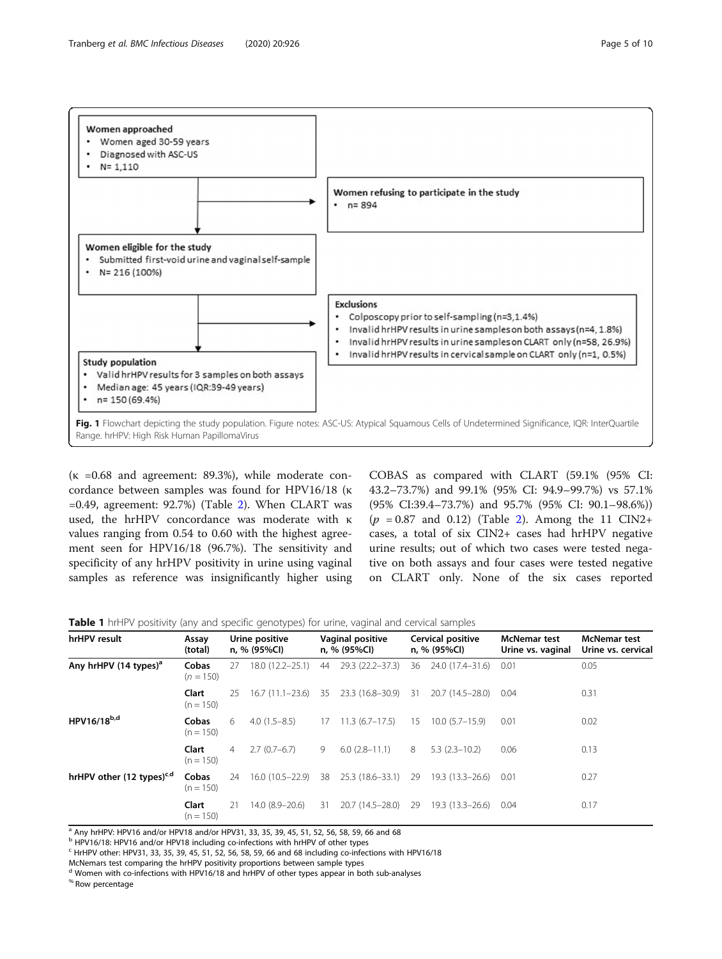<span id="page-4-0"></span>

 $\bullet$ 

( $\kappa$  =0.68 and agreement: 89.3%), while moderate concordance between samples was found for HPV16/18 (κ  $=0.49$ , agreement: 92.7%) (Table [2\)](#page-5-0). When CLART was used, the hrHPV concordance was moderate with κ values ranging from 0.54 to 0.60 with the highest agreement seen for HPV16/18 (96.7%). The sensitivity and specificity of any hrHPV positivity in urine using vaginal Fig. 1 Flowchart depicting the study population. Figure notes: ASC-US: Atypical Squamous Cells of Undetermined Significance, IQR: InterQuartile Range. hrHPV: High Risk Human PapillomaVirus

Valid hrHPV results for 3 samples on both assays Median age: 45 years (IQR:39-49 years)

**Study population** 

n= 150 (69.4%)

samples as reference was insignificantly higher using

COBAS as compared with CLART (59.1% (95% CI: 43.2–73.7%) and 99.1% (95% CI: 94.9–99.7%) vs 57.1% (95% CI:39.4–73.7%) and 95.7% (95% CI: 90.1–98.6%))  $(p = 0.87 \text{ and } 0.12)$  $(p = 0.87 \text{ and } 0.12)$  (Table 2). Among the 11 CIN2+ cases, a total of six CIN2+ cases had hrHPV negative urine results; out of which two cases were tested negative on both assays and four cases were tested negative on CLART only. None of the six cases reported

Invalid hrHPV results in cervical sample on CLART only (n=1, 0.5%)

| Table 1 hrHPV positivity (any and specific genotypes) for urine, vaginal and cervical samples |  |  |
|-----------------------------------------------------------------------------------------------|--|--|
|-----------------------------------------------------------------------------------------------|--|--|

| hrHPV result                          | Assay<br>(total)     | Urine positive<br>n, % (95%Cl) |                     | Vaginal positive<br>n, % (95%Cl) |                  | Cervical positive<br>n, % (95%Cl) |                        | <b>McNemar test</b><br>Urine vs. vaginal | <b>McNemar test</b><br>Urine vs. cervical |
|---------------------------------------|----------------------|--------------------------------|---------------------|----------------------------------|------------------|-----------------------------------|------------------------|------------------------------------------|-------------------------------------------|
| Any hrHPV (14 types) <sup>a</sup>     | Cobas<br>$(n = 150)$ | 27                             | $18.0(12.2 - 25.1)$ | 44                               | 29.3 (22.2-37.3) | 36                                | 24.0 (17.4-31.6)       | 0.01                                     | 0.05                                      |
|                                       | Clart<br>$(n = 150)$ | 25                             | $16.7(11.1-23.6)$   | 35                               | 23.3 (16.8-30.9) | -31                               | 20.7 (14.5–28.0)       | 0.04                                     | 0.31                                      |
| HPV16/18b,d                           | Cobas<br>$(n = 150)$ | 6                              | $4.0(1.5-8.5)$      | 17                               | $11.3(6.7-17.5)$ | 15                                | $10.0(5.7-15.9)$       | 0.01                                     | 0.02                                      |
|                                       | Clart<br>$(n = 150)$ | $\overline{4}$                 | $2.7(0.7-6.7)$      | 9                                | $6.0(2.8-11.1)$  | 8                                 | $5.3(2.3 - 10.2)$      | 0.06                                     | 0.13                                      |
| hrHPV other (12 types) <sup>c,d</sup> | Cobas<br>$(n = 150)$ | 24                             | $16.0(10.5-22.9)$   | 38                               | 25.3 (18.6-33.1) | 29                                | $19.3(13.3-26.6)$ 0.01 |                                          | 0.27                                      |
|                                       | Clart<br>$(n = 150)$ | 21                             | 14.0 (8.9-20.6)     | -31                              | 20.7 (14.5–28.0) | 29                                | 19.3 (13.3–26.6)       | 0.04                                     | 0.17                                      |

a Any hrHPV: HPV16 and/or HPV18 and/or HPV31, 33, 35, 39, 45, 51, 52, 56, 58, 59, 66 and 68

<sup>b</sup> HPV16/18: HPV16 and/or HPV18 including co-infections with hrHPV of other types

 $c$  HrHPV other: HPV31, 33, 35, 39, 45, 51, 52, 56, 58, 59, 66 and 68 including co-infections with HPV16/18

McNemars test comparing the hrHPV positivity proportions between sample types

<sup>d</sup> Women with co-infections with HPV16/18 and hrHPV of other types appear in both sub-analyses

% Row percentage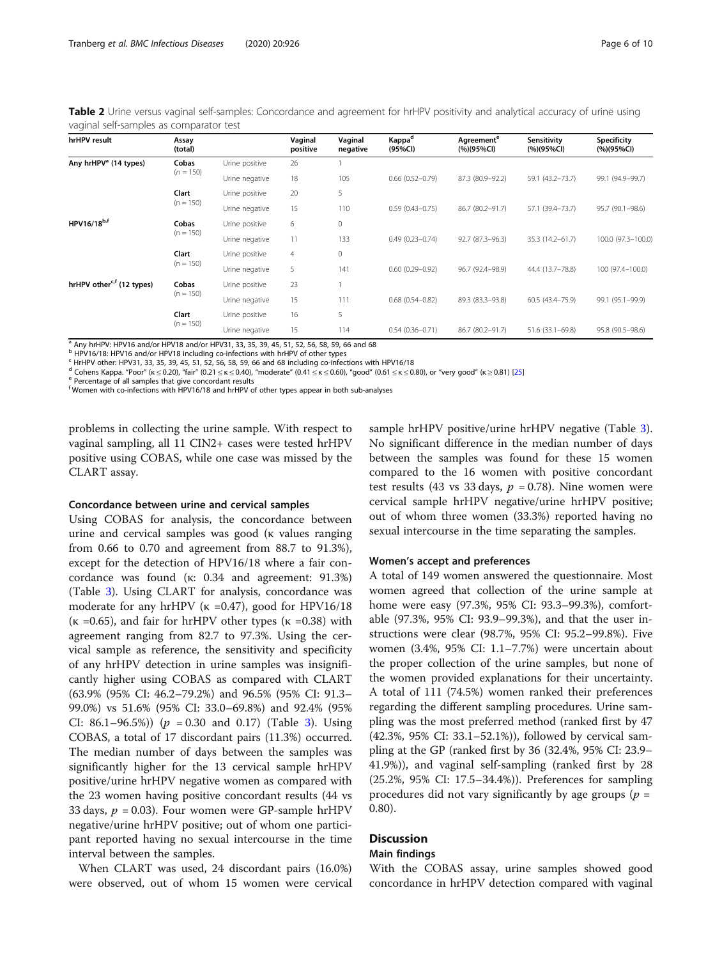<span id="page-5-0"></span>Table 2 Urine versus vaginal self-samples: Concordance and agreement for hrHPV positivity and analytical accuracy of urine using vaginal self-samples as comparator test

| hrHPV result                          | Assay<br>(total)     |                | Vaginal<br>positive | Vaginal<br>negative | Kappa <sup>d</sup><br>(95%Cl) | Agreement <sup>e</sup><br>(%)(95%Cl) | Sensitivity<br>$(%)$ (95%CI) | Specificity<br>$(%)$ (95%CI) |
|---------------------------------------|----------------------|----------------|---------------------|---------------------|-------------------------------|--------------------------------------|------------------------------|------------------------------|
| Any hrHPV <sup>a</sup> (14 types)     | Cobas                | Urine positive | 26                  |                     |                               |                                      |                              |                              |
|                                       | $(n = 150)$          | Urine negative | 18                  | 105                 | $0.66$ $(0.52 - 0.79)$        | 87.3 (80.9-92.2)                     | 59.1 (43.2-73.7)             | 99.1 (94.9-99.7)             |
|                                       | Clart                | Urine positive | 20                  | 5                   |                               |                                      |                              |                              |
|                                       | $(n = 150)$          | Urine negative | 15                  | 110                 | $0.59(0.43 - 0.75)$           | 86.7 (80.2-91.7)                     | 57.1 (39.4-73.7)             | 95.7 (90.1-98.6)             |
| HPV16/18b,f                           | Cobas                | Urine positive | 6                   | $\mathbf 0$         |                               |                                      |                              |                              |
|                                       | $(n = 150)$          | Urine negative | 11                  | 133                 | $0.49(0.23 - 0.74)$           | 92.7 (87.3-96.3)                     | 35.3 (14.2–61.7)             | 100.0 (97.3-100.0)           |
|                                       | Clart<br>$(n = 150)$ | Urine positive | $\overline{4}$      | $\mathbf 0$         |                               |                                      |                              |                              |
|                                       |                      | Urine negative | 5                   | 141                 | $0.60(0.29 - 0.92)$           | 96.7 (92.4-98.9)                     | 44.4 (13.7–78.8)             | 100 (97.4-100.0)             |
| hrHPV other <sup>c,f</sup> (12 types) | Cobas                | Urine positive | 23                  |                     |                               |                                      |                              |                              |
|                                       | $(n = 150)$          | Urine negative | 15                  | 111                 | $0.68(0.54 - 0.82)$           | 89.3 (83.3-93.8)                     | $60.5(43.4 - 75.9)$          | 99.1 (95.1-99.9)             |
|                                       | Clart                | Urine positive | 16                  | 5                   |                               |                                      |                              |                              |
|                                       | $(n = 150)$          | Urine negative | 15                  | 114                 | $0.54(0.36 - 0.71)$           | 86.7 (80.2-91.7)                     | 51.6 (33.1-69.8)             | 95.8 (90.5-98.6)             |

 $\frac{a}{b}$  Any hrHPV: HPV16 and/or HPV18 and/or HPV31, 33, 35, 39, 45, 51, 52, 56, 58, 59, 66 and 68<br> $\frac{b}{b}$  HPV16/18: HPV16 and/or HPV18 including co-infections with hrHPV of other types

 $\frac{1}{2}$  HrHPV other: HPV31, 33, 35, 39, 45, 51, 52, 56, 58, 59, 66 and 68 including co-infections with HPV16/18

<sup>d</sup> Cohens Kappa. "Poor" (κ ≤ 0.20), "fair" (0.21 ≤ κ ≤ 0.40), "moderate" (0.41 ≤ κ ≤ 0.60), "good" (0.61 ≤ κ ≤ 0.80), or "very good" (κ ≥ 0.81) [\[25](#page-9-0)] e Percentage of all samples that give concordant results

<sup>f</sup> Women with co-infections with HPV16/18 and hrHPV of other types appear in both sub-analyses

problems in collecting the urine sample. With respect to vaginal sampling, all 11 CIN2+ cases were tested hrHPV positive using COBAS, while one case was missed by the CLART assay.

#### Concordance between urine and cervical samples

Using COBAS for analysis, the concordance between urine and cervical samples was good (κ values ranging from 0.66 to 0.70 and agreement from 88.7 to 91.3%), except for the detection of HPV16/18 where a fair concordance was found (κ: 0.34 and agreement: 91.3%) (Table [3](#page-6-0)). Using CLART for analysis, concordance was moderate for any hrHPV ( $\kappa$  =0.47), good for HPV16/18 ( $\kappa$  =0.65), and fair for hrHPV other types ( $\kappa$  =0.38) with agreement ranging from 82.7 to 97.3%. Using the cervical sample as reference, the sensitivity and specificity of any hrHPV detection in urine samples was insignificantly higher using COBAS as compared with CLART (63.9% (95% CI: 46.2–79.2%) and 96.5% (95% CI: 91.3– 99.0%) vs 51.6% (95% CI: 33.0–69.8%) and 92.4% (95% CI: 86.1–96.5%)) ( $p = 0.30$  $p = 0.30$  $p = 0.30$  and 0.17) (Table 3). Using COBAS, a total of 17 discordant pairs (11.3%) occurred. The median number of days between the samples was significantly higher for the 13 cervical sample hrHPV positive/urine hrHPV negative women as compared with the 23 women having positive concordant results (44 vs 33 days,  $p = 0.03$ ). Four women were GP-sample hrHPV negative/urine hrHPV positive; out of whom one participant reported having no sexual intercourse in the time interval between the samples.

When CLART was used, 24 discordant pairs (16.0%) were observed, out of whom 15 women were cervical sample hrHPV positive/urine hrHPV negative (Table [3](#page-6-0)). No significant difference in the median number of days between the samples was found for these 15 women compared to the 16 women with positive concordant test results (43 vs 33 days,  $p = 0.78$ ). Nine women were cervical sample hrHPV negative/urine hrHPV positive; out of whom three women (33.3%) reported having no sexual intercourse in the time separating the samples.

#### Women's accept and preferences

A total of 149 women answered the questionnaire. Most women agreed that collection of the urine sample at home were easy (97.3%, 95% CI: 93.3–99.3%), comfortable (97.3%, 95% CI: 93.9–99.3%), and that the user instructions were clear (98.7%, 95% CI: 95.2–99.8%). Five women (3.4%, 95% CI: 1.1–7.7%) were uncertain about the proper collection of the urine samples, but none of the women provided explanations for their uncertainty. A total of 111 (74.5%) women ranked their preferences regarding the different sampling procedures. Urine sampling was the most preferred method (ranked first by 47 (42.3%, 95% CI: 33.1–52.1%)), followed by cervical sampling at the GP (ranked first by 36 (32.4%, 95% CI: 23.9– 41.9%)), and vaginal self-sampling (ranked first by 28 (25.2%, 95% CI: 17.5–34.4%)). Preferences for sampling procedures did not vary significantly by age groups ( $p =$ 0.80).

### **Discussion**

#### Main findings

With the COBAS assay, urine samples showed good concordance in hrHPV detection compared with vaginal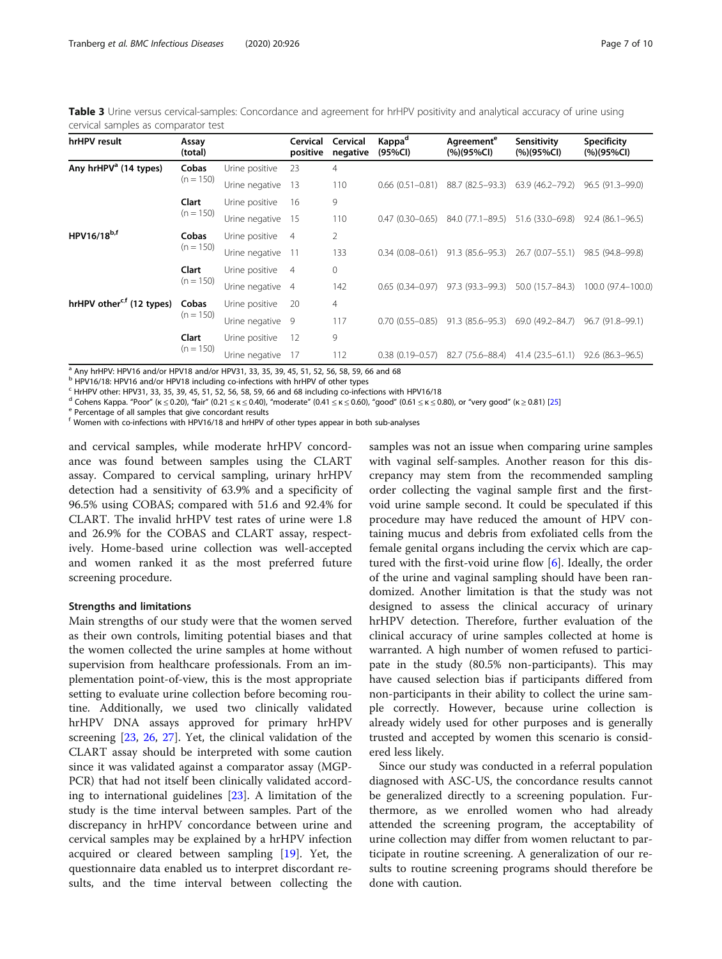<span id="page-6-0"></span>Table 3 Urine versus cervical-samples: Concordance and agreement for hrHPV positivity and analytical accuracy of urine using cervical samples as comparator test

| hrHPV result                          | Assay<br>(total)     |                   | Cervical<br>positive | Cervical<br>negative | Kappa <sup>d</sup><br>(95%CI) | Agreement <sup>e</sup><br>$(%)$ (95%CI) | Sensitivity<br>$(%)$ (95%CI) | <b>Specificity</b><br>$(%)$ (95%CI) |
|---------------------------------------|----------------------|-------------------|----------------------|----------------------|-------------------------------|-----------------------------------------|------------------------------|-------------------------------------|
| Any hrHPV <sup>a</sup> (14 types)     | Cobas                | Urine positive    | 23                   | $\overline{4}$       |                               |                                         |                              |                                     |
|                                       | $(n = 150)$          | Urine negative    | 13                   | 110                  | $0.66(0.51-0.81)$             | 88.7 (82.5–93.3)                        | 63.9 (46.2–79.2)             | $96.5(91.3-99.0)$                   |
|                                       | Clart<br>$(n = 150)$ | Urine positive    | -16                  | 9                    |                               |                                         |                              |                                     |
|                                       |                      | Urine negative 15 |                      | 110                  | $0.47(0.30 - 0.65)$           | 84.0 (77.1-89.5)                        | 51.6 (33.0–69.8)             | $92.4(86.1-96.5)$                   |
| HPV16/18 <sup>b,f</sup>               | Cobas<br>$(n = 150)$ | Urine positive    | $\overline{4}$       | $\overline{2}$       |                               |                                         |                              |                                     |
|                                       |                      | Urine negative    | $-11$                | 133                  | $0.34(0.08-0.61)$             | 91.3 (85.6–95.3)                        | 26.7 (0.07-55.1)             | 98.5 (94.8–99.8)                    |
|                                       | Clart<br>$(n = 150)$ | Urine positive    | $\overline{4}$       | 0                    |                               |                                         |                              |                                     |
|                                       |                      | Urine negative 4  |                      | 142                  | $0.65(0.34 - 0.97)$           | 97.3 (93.3–99.3)                        | 50.0 (15.7-84.3)             | 100.0 (97.4-100.0)                  |
| hrHPV other <sup>c,f</sup> (12 types) | Cobas<br>$(n = 150)$ | Urine positive    | 20                   | $\overline{4}$       |                               |                                         |                              |                                     |
|                                       |                      | Urine negative 9  |                      | 117                  | $0.70(0.55 - 0.85)$           | 91.3 (85.6–95.3)                        | 69.0 (49.2-84.7)             | $96.7(91.8-99.1)$                   |
|                                       | Clart<br>$(n = 150)$ | Urine positive    | -12                  | 9                    |                               |                                         |                              |                                     |
|                                       |                      | Urine negative    | 17                   | 112                  | $0.38(0.19 - 0.57)$           | 82.7 (75.6-88.4)                        | $41.4(23.5 - 61.1)$          | $92.6(86.3-96.5)$                   |

<sup>1</sup> Any hrHPV: HPV16 and/or HPV18 and/or HPV31, 33, 35, 39, 45, 51, 52, 56, 58, 59, 66 and 68

<sup>b</sup> HPV16/18: HPV16 and/or HPV18 including co-infections with hrHPV of other types

 $c$  HrHPV other: HPV31, 33, 35, 39, 45, 51, 52, 56, 58, 59, 66 and 68 including co-infections with HPV16/18

<sup>d</sup> Cohens Kappa. "Poor" (κ ≤ 0.20), "fair" (0.21 ≤ κ ≤ 0.40), "moderate" (0.41 ≤ κ ≤ 0.60), "good" (0.61 ≤ κ ≤ 0.80), or "very good" (κ ≥ 0.81) [[25](#page-9-0)] e Percentage of all samples that give concordant results

<sup>f</sup> Women with co-infections with HPV16/18 and hrHPV of other types appear in both sub-analyses

and cervical samples, while moderate hrHPV concordance was found between samples using the CLART assay. Compared to cervical sampling, urinary hrHPV detection had a sensitivity of 63.9% and a specificity of 96.5% using COBAS; compared with 51.6 and 92.4% for CLART. The invalid hrHPV test rates of urine were 1.8 and 26.9% for the COBAS and CLART assay, respectively. Home-based urine collection was well-accepted and women ranked it as the most preferred future screening procedure.

#### Strengths and limitations

Main strengths of our study were that the women served as their own controls, limiting potential biases and that the women collected the urine samples at home without supervision from healthcare professionals. From an implementation point-of-view, this is the most appropriate setting to evaluate urine collection before becoming routine. Additionally, we used two clinically validated hrHPV DNA assays approved for primary hrHPV screening [\[23](#page-9-0), [26](#page-9-0), [27\]](#page-9-0). Yet, the clinical validation of the CLART assay should be interpreted with some caution since it was validated against a comparator assay (MGP-PCR) that had not itself been clinically validated according to international guidelines [[23\]](#page-9-0). A limitation of the study is the time interval between samples. Part of the discrepancy in hrHPV concordance between urine and cervical samples may be explained by a hrHPV infection acquired or cleared between sampling [\[19](#page-9-0)]. Yet, the questionnaire data enabled us to interpret discordant results, and the time interval between collecting the

samples was not an issue when comparing urine samples with vaginal self-samples. Another reason for this discrepancy may stem from the recommended sampling order collecting the vaginal sample first and the firstvoid urine sample second. It could be speculated if this procedure may have reduced the amount of HPV containing mucus and debris from exfoliated cells from the female genital organs including the cervix which are captured with the first-void urine flow [[6\]](#page-9-0). Ideally, the order of the urine and vaginal sampling should have been randomized. Another limitation is that the study was not designed to assess the clinical accuracy of urinary hrHPV detection. Therefore, further evaluation of the clinical accuracy of urine samples collected at home is warranted. A high number of women refused to participate in the study (80.5% non-participants). This may have caused selection bias if participants differed from non-participants in their ability to collect the urine sample correctly. However, because urine collection is already widely used for other purposes and is generally trusted and accepted by women this scenario is considered less likely.

Since our study was conducted in a referral population diagnosed with ASC-US, the concordance results cannot be generalized directly to a screening population. Furthermore, as we enrolled women who had already attended the screening program, the acceptability of urine collection may differ from women reluctant to participate in routine screening. A generalization of our results to routine screening programs should therefore be done with caution.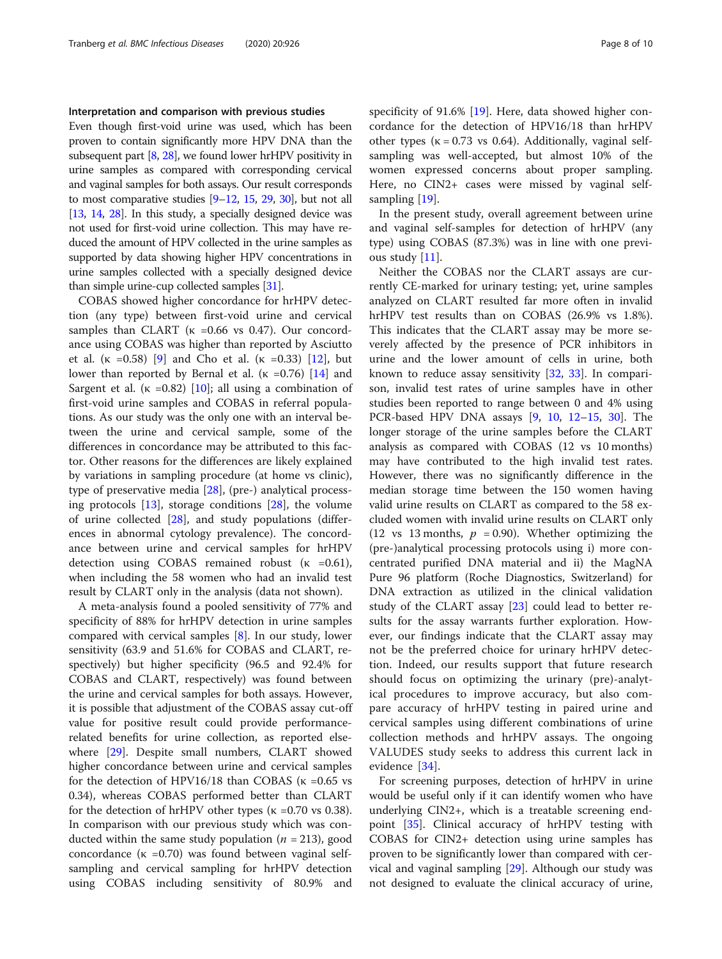#### Interpretation and comparison with previous studies

Even though first-void urine was used, which has been proven to contain significantly more HPV DNA than the subsequent part  $[8, 28]$  $[8, 28]$  $[8, 28]$  $[8, 28]$  $[8, 28]$ , we found lower hrHPV positivity in urine samples as compared with corresponding cervical and vaginal samples for both assays. Our result corresponds to most comparative studies [[9](#page-9-0)–[12,](#page-9-0) [15](#page-9-0), [29](#page-9-0), [30\]](#page-9-0), but not all [[13](#page-9-0), [14](#page-9-0), [28\]](#page-9-0). In this study, a specially designed device was not used for first-void urine collection. This may have reduced the amount of HPV collected in the urine samples as supported by data showing higher HPV concentrations in urine samples collected with a specially designed device than simple urine-cup collected samples [[31](#page-9-0)].

COBAS showed higher concordance for hrHPV detection (any type) between first-void urine and cervical samples than CLART ( $\kappa$  =0.66 vs 0.47). Our concordance using COBAS was higher than reported by Asciutto et al. ( $\kappa = 0.58$ ) [[9](#page-9-0)] and Cho et al. ( $\kappa = 0.33$ ) [[12\]](#page-9-0), but lower than reported by Bernal et al. ( $\kappa = 0.76$ ) [\[14](#page-9-0)] and Sargent et al. ( $\kappa$  =0.82) [[10\]](#page-9-0); all using a combination of first-void urine samples and COBAS in referral populations. As our study was the only one with an interval between the urine and cervical sample, some of the differences in concordance may be attributed to this factor. Other reasons for the differences are likely explained by variations in sampling procedure (at home vs clinic), type of preservative media [[28\]](#page-9-0), (pre-) analytical processing protocols [[13](#page-9-0)], storage conditions [\[28](#page-9-0)], the volume of urine collected [\[28](#page-9-0)], and study populations (differences in abnormal cytology prevalence). The concordance between urine and cervical samples for hrHPV detection using COBAS remained robust  $(\kappa = 0.61)$ , when including the 58 women who had an invalid test result by CLART only in the analysis (data not shown).

A meta-analysis found a pooled sensitivity of 77% and specificity of 88% for hrHPV detection in urine samples compared with cervical samples [\[8](#page-9-0)]. In our study, lower sensitivity (63.9 and 51.6% for COBAS and CLART, respectively) but higher specificity (96.5 and 92.4% for COBAS and CLART, respectively) was found between the urine and cervical samples for both assays. However, it is possible that adjustment of the COBAS assay cut-off value for positive result could provide performancerelated benefits for urine collection, as reported elsewhere [[29\]](#page-9-0). Despite small numbers, CLART showed higher concordance between urine and cervical samples for the detection of HPV16/18 than COBAS ( $\kappa$  =0.65 vs 0.34), whereas COBAS performed better than CLART for the detection of hrHPV other types ( $\kappa$  =0.70 vs 0.38). In comparison with our previous study which was conducted within the same study population ( $n = 213$ ), good concordance (κ =0.70) was found between vaginal selfsampling and cervical sampling for hrHPV detection using COBAS including sensitivity of 80.9% and specificity of 91.6% [[19\]](#page-9-0). Here, data showed higher concordance for the detection of HPV16/18 than hrHPV other types ( $\kappa = 0.73$  vs 0.64). Additionally, vaginal selfsampling was well-accepted, but almost 10% of the women expressed concerns about proper sampling. Here, no CIN2+ cases were missed by vaginal self-sampling [[19](#page-9-0)].

In the present study, overall agreement between urine and vaginal self-samples for detection of hrHPV (any type) using COBAS (87.3%) was in line with one previous study [[11\]](#page-9-0).

Neither the COBAS nor the CLART assays are currently CE-marked for urinary testing; yet, urine samples analyzed on CLART resulted far more often in invalid hrHPV test results than on COBAS (26.9% vs 1.8%). This indicates that the CLART assay may be more severely affected by the presence of PCR inhibitors in urine and the lower amount of cells in urine, both known to reduce assay sensitivity [\[32](#page-9-0), [33](#page-9-0)]. In comparison, invalid test rates of urine samples have in other studies been reported to range between 0 and 4% using PCR-based HPV DNA assays [\[9](#page-9-0), [10,](#page-9-0) [12](#page-9-0)–[15,](#page-9-0) [30\]](#page-9-0). The longer storage of the urine samples before the CLART analysis as compared with COBAS (12 vs 10 months) may have contributed to the high invalid test rates. However, there was no significantly difference in the median storage time between the 150 women having valid urine results on CLART as compared to the 58 excluded women with invalid urine results on CLART only (12 vs 13 months,  $p = 0.90$ ). Whether optimizing the (pre-)analytical processing protocols using i) more concentrated purified DNA material and ii) the MagNA Pure 96 platform (Roche Diagnostics, Switzerland) for DNA extraction as utilized in the clinical validation study of the CLART assay [[23\]](#page-9-0) could lead to better results for the assay warrants further exploration. However, our findings indicate that the CLART assay may not be the preferred choice for urinary hrHPV detection. Indeed, our results support that future research should focus on optimizing the urinary (pre)-analytical procedures to improve accuracy, but also compare accuracy of hrHPV testing in paired urine and cervical samples using different combinations of urine collection methods and hrHPV assays. The ongoing VALUDES study seeks to address this current lack in evidence [[34\]](#page-9-0).

For screening purposes, detection of hrHPV in urine would be useful only if it can identify women who have underlying CIN2+, which is a treatable screening endpoint [[35\]](#page-9-0). Clinical accuracy of hrHPV testing with COBAS for CIN2+ detection using urine samples has proven to be significantly lower than compared with cervical and vaginal sampling [\[29](#page-9-0)]. Although our study was not designed to evaluate the clinical accuracy of urine,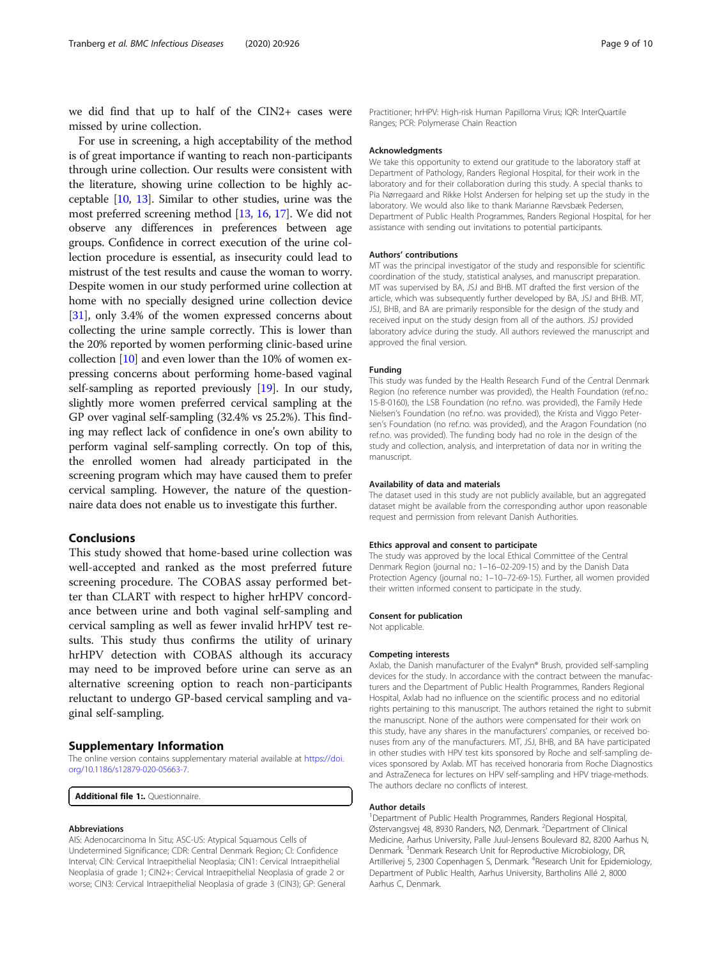<span id="page-8-0"></span>we did find that up to half of the CIN2+ cases were missed by urine collection.

For use in screening, a high acceptability of the method is of great importance if wanting to reach non-participants through urine collection. Our results were consistent with the literature, showing urine collection to be highly acceptable [[10](#page-9-0), [13\]](#page-9-0). Similar to other studies, urine was the most preferred screening method [\[13,](#page-9-0) [16](#page-9-0), [17](#page-9-0)]. We did not observe any differences in preferences between age groups. Confidence in correct execution of the urine collection procedure is essential, as insecurity could lead to mistrust of the test results and cause the woman to worry. Despite women in our study performed urine collection at home with no specially designed urine collection device [[31](#page-9-0)], only 3.4% of the women expressed concerns about collecting the urine sample correctly. This is lower than the 20% reported by women performing clinic-based urine collection [\[10\]](#page-9-0) and even lower than the 10% of women expressing concerns about performing home-based vaginal self-sampling as reported previously [\[19\]](#page-9-0). In our study, slightly more women preferred cervical sampling at the GP over vaginal self-sampling (32.4% vs 25.2%). This finding may reflect lack of confidence in one's own ability to perform vaginal self-sampling correctly. On top of this, the enrolled women had already participated in the screening program which may have caused them to prefer cervical sampling. However, the nature of the questionnaire data does not enable us to investigate this further.

#### Conclusions

This study showed that home-based urine collection was well-accepted and ranked as the most preferred future screening procedure. The COBAS assay performed better than CLART with respect to higher hrHPV concordance between urine and both vaginal self-sampling and cervical sampling as well as fewer invalid hrHPV test results. This study thus confirms the utility of urinary hrHPV detection with COBAS although its accuracy may need to be improved before urine can serve as an alternative screening option to reach non-participants reluctant to undergo GP-based cervical sampling and vaginal self-sampling.

#### Supplementary Information

The online version contains supplementary material available at [https://doi.](https://doi.org/10.1186/s12879-020-05663-7) [org/10.1186/s12879-020-05663-7.](https://doi.org/10.1186/s12879-020-05663-7)

Additional file 1: Questionnaire.

#### Abbreviations

AIS: Adenocarcinoma In Situ; ASC-US: Atypical Squamous Cells of Undetermined Significance; CDR: Central Denmark Region; CI: Confidence Interval; CIN: Cervical Intraepithelial Neoplasia; CIN1: Cervical Intraepithelial Neoplasia of grade 1; CIN2+: Cervical Intraepithelial Neoplasia of grade 2 or worse; CIN3: Cervical Intraepithelial Neoplasia of grade 3 (CIN3); GP: General

Practitioner; hrHPV: High-risk Human Papilloma Virus; IQR: InterQuartile Ranges; PCR: Polymerase Chain Reaction

#### **Acknowledaments**

We take this opportunity to extend our gratitude to the laboratory staff at Department of Pathology, Randers Regional Hospital, for their work in the laboratory and for their collaboration during this study. A special thanks to Pia Nørregaard and Rikke Holst Andersen for helping set up the study in the laboratory. We would also like to thank Marianne Rævsbæk Pedersen, Department of Public Health Programmes, Randers Regional Hospital, for her assistance with sending out invitations to potential participants.

#### Authors' contributions

MT was the principal investigator of the study and responsible for scientific coordination of the study, statistical analyses, and manuscript preparation. MT was supervised by BA, JSJ and BHB. MT drafted the first version of the article, which was subsequently further developed by BA, JSJ and BHB. MT, JSJ, BHB, and BA are primarily responsible for the design of the study and received input on the study design from all of the authors. JSJ provided laboratory advice during the study. All authors reviewed the manuscript and approved the final version.

#### Funding

This study was funded by the Health Research Fund of the Central Denmark Region (no reference number was provided), the Health Foundation (ref.no.: 15-B-0160), the LSB Foundation (no ref.no. was provided), the Family Hede Nielsen's Foundation (no ref.no. was provided), the Krista and Viggo Petersen's Foundation (no ref.no. was provided), and the Aragon Foundation (no ref.no. was provided). The funding body had no role in the design of the study and collection, analysis, and interpretation of data nor in writing the manuscript.

#### Availability of data and materials

The dataset used in this study are not publicly available, but an aggregated dataset might be available from the corresponding author upon reasonable request and permission from relevant Danish Authorities.

#### Ethics approval and consent to participate

The study was approved by the local Ethical Committee of the Central Denmark Region (journal no.: 1–16–02-209-15) and by the Danish Data Protection Agency (journal no.: 1-10-72-69-15). Further, all women provided their written informed consent to participate in the study.

#### Consent for publication

Not applicable.

#### Competing interests

Axlab, the Danish manufacturer of the Evalyn® Brush, provided self-sampling devices for the study. In accordance with the contract between the manufacturers and the Department of Public Health Programmes, Randers Regional Hospital, Axlab had no influence on the scientific process and no editorial rights pertaining to this manuscript. The authors retained the right to submit the manuscript. None of the authors were compensated for their work on this study, have any shares in the manufacturers' companies, or received bonuses from any of the manufacturers. MT, JSJ, BHB, and BA have participated in other studies with HPV test kits sponsored by Roche and self-sampling devices sponsored by Axlab. MT has received honoraria from Roche Diagnostics and AstraZeneca for lectures on HPV self-sampling and HPV triage-methods. The authors declare no conflicts of interest.

#### Author details

<sup>1</sup>Department of Public Health Programmes, Randers Regional Hospital Østervangsvej 48, 8930 Randers, NØ, Denmark. <sup>2</sup>Department of Clinical Medicine, Aarhus University, Palle Juul-Jensens Boulevard 82, 8200 Aarhus N, Denmark.<sup>3</sup> Denmark Research Unit for Reproductive Microbiology, DR Artillerivej 5, 2300 Copenhagen S, Denmark. <sup>4</sup>Research Unit for Epidemiology, Department of Public Health, Aarhus University, Bartholins Allé 2, 8000 Aarhus C, Denmark.